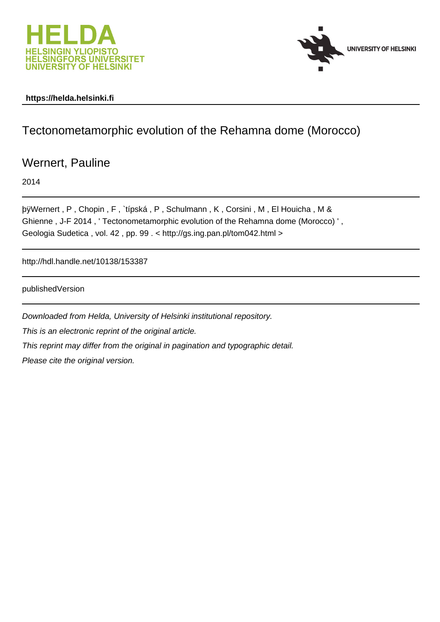



## **https://helda.helsinki.fi**

## Tectonometamorphic evolution of the Rehamna dome (Morocco)

Wernert, Pauline

2014

þÿWernert, P, Chopin, F, `típská, P, Schulmann, K, Corsini, M, E Ghienne , J-F 2014 , ' Tectonometamorphic evolution of the Rehamna dome (Morocco) ' , Geologia Sudetica , vol. 42 , pp. 99 . < http://gs.ing.pan.pl/tom042.html >

http://hdl.handle.net/10138/153387

publishedVersion

Downloaded from Helda, University of Helsinki institutional repository. This is an electronic reprint of the original article. This reprint may differ from the original in pagination and typographic detail. Please cite the original version.